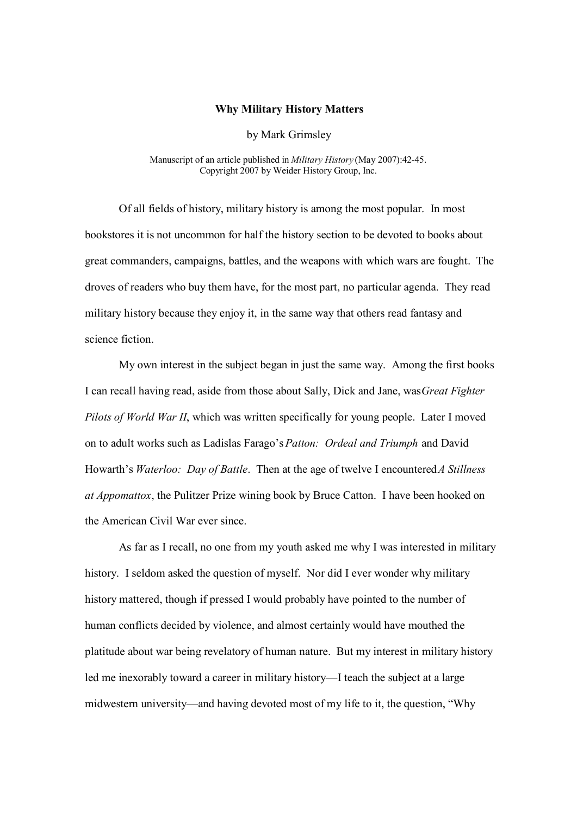## **Why Military History Matters**

by Mark Grimsley

Manuscript of an article published in *Military History* (May 2007):42-45. Copyright 2007 by Weider History Group, Inc.

Of all fields of history, military history is among the most popular. In most bookstores it is not uncommon for half the history section to be devoted to books about great commanders, campaigns, battles, and the weapons with which wars are fought. The droves of readers who buy them have, for the most part, no particular agenda. They read military history because they enjoy it, in the same way that others read fantasy and science fiction.

My own interest in the subject began in just the same way. Among the first books I can recall having read, aside from those about Sally, Dick and Jane, was *Great Fighter Pilots of World War II*, which was written specifically for young people. Later I moved on to adult works such as Ladislas Farago's *Patton: Ordeal and Triumph* and David Howarth's *Waterloo: Day of Battle*. Then at the age of twelve I encountered *A Stillness at Appomattox*, the Pulitzer Prize wining book by Bruce Catton. I have been hooked on the American Civil War ever since.

As far as I recall, no one from my youth asked me why I was interested in military history. I seldom asked the question of myself. Nor did I ever wonder why military history mattered, though if pressed I would probably have pointed to the number of human conflicts decided by violence, and almost certainly would have mouthed the platitude about war being revelatory of human nature. But my interest in military history led me inexorably toward a career in military history—I teach the subject at a large midwestern university—and having devoted most of my life to it, the question, "Why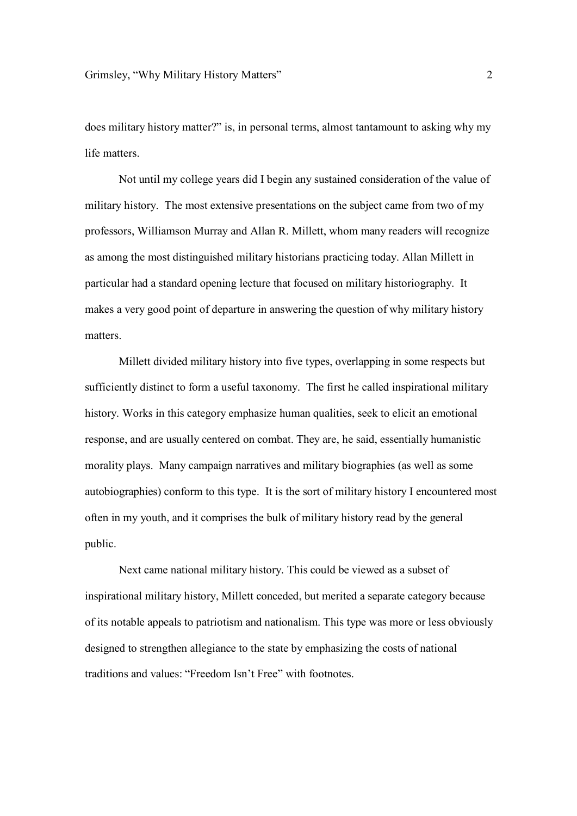does military history matter?" is, in personal terms, almost tantamount to asking why my life matters.

Not until my college years did I begin any sustained consideration of the value of military history. The most extensive presentations on the subject came from two of my professors, Williamson Murray and Allan R. Millett, whom many readers will recognize as among the most distinguished military historians practicing today. Allan Millett in particular had a standard opening lecture that focused on military historiography. It makes a very good point of departure in answering the question of why military history matters.

Millett divided military history into five types, overlapping in some respects but sufficiently distinct to form a useful taxonomy. The first he called inspirational military history. Works in this category emphasize human qualities, seek to elicit an emotional response, and are usually centered on combat. They are, he said, essentially humanistic morality plays. Many campaign narratives and military biographies (as well as some autobiographies) conform to this type. It is the sort of military history I encountered most often in my youth, and it comprises the bulk of military history read by the general public.

Next came national military history. This could be viewed as a subset of inspirational military history, Millett conceded, but merited a separate category because of its notable appeals to patriotism and nationalism. This type was more or less obviously designed to strengthen allegiance to the state by emphasizing the costs of national traditions and values: "Freedom Isn't Free" with footnotes.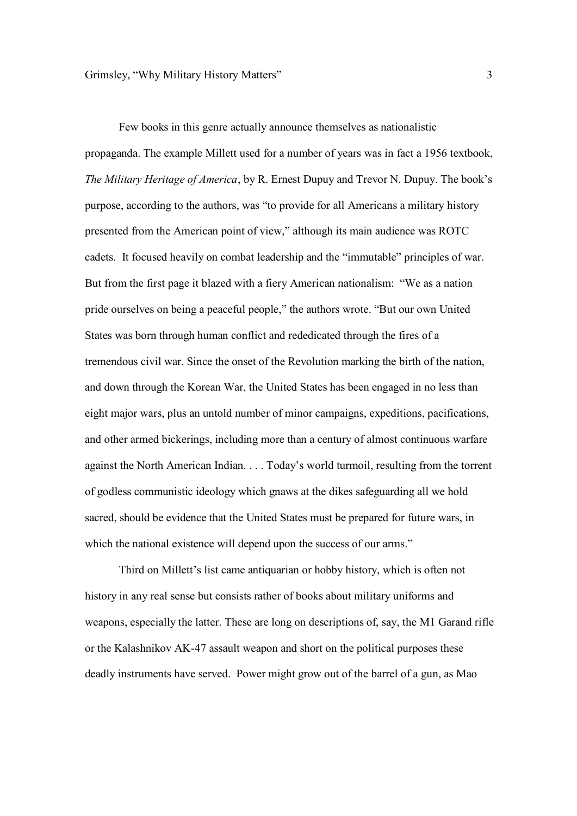Few books in this genre actually announce themselves as nationalistic propaganda. The example Millett used for a number of years was in fact a 1956 textbook, *The Military Heritage of America*, by R. Ernest Dupuy and Trevor N. Dupuy. The book's purpose, according to the authors, was "to provide for all Americans a military history presented from the American point of view," although its main audience was ROTC cadets. It focused heavily on combat leadership and the "immutable" principles of war. But from the first page it blazed with a fiery American nationalism: "We as a nation pride ourselves on being a peaceful people," the authors wrote. "But our own United States was born through human conflict and rededicated through the fires of a tremendous civil war. Since the onset of the Revolution marking the birth of the nation, and down through the Korean War, the United States has been engaged in no less than eight major wars, plus an untold number of minor campaigns, expeditions, pacifications, and other armed bickerings, including more than a century of almost continuous warfare against the North American Indian. . . . Today's world turmoil, resulting from the torrent of godless communistic ideology which gnaws at the dikes safeguarding all we hold sacred, should be evidence that the United States must be prepared for future wars, in which the national existence will depend upon the success of our arms."

Third on Millett's list came antiquarian or hobby history, which is often not history in any real sense but consists rather of books about military uniforms and weapons, especially the latter. These are long on descriptions of, say, the M1 Garand rifle or the Kalashnikov AK-47 assault weapon and short on the political purposes these deadly instruments have served. Power might grow out of the barrel of a gun, as Mao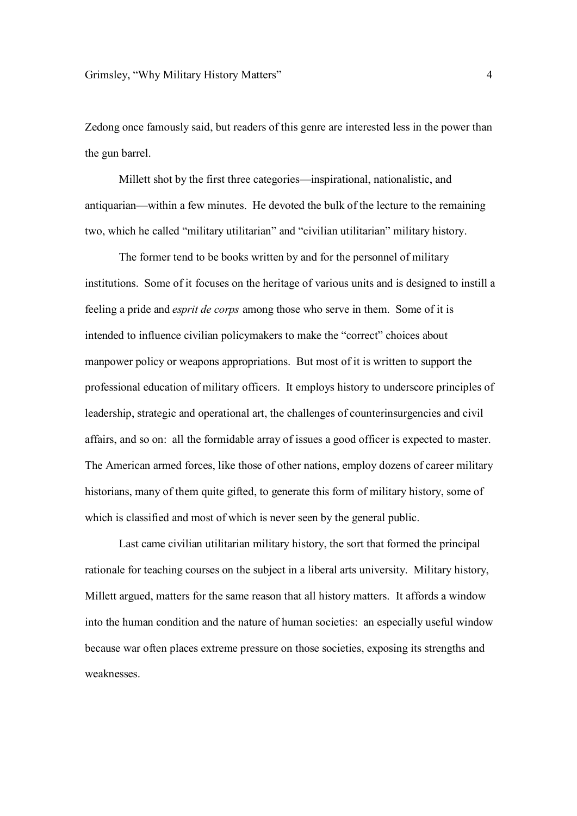Zedong once famously said, but readers of this genre are interested less in the power than the gun barrel.

Millett shot by the first three categories—inspirational, nationalistic, and antiquarian—within a few minutes. He devoted the bulk of the lecture to the remaining two, which he called "military utilitarian" and "civilian utilitarian" military history.

The former tend to be books written by and for the personnel of military institutions. Some of it focuses on the heritage of various units and is designed to instill a feeling a pride and *esprit de corps* among those who serve in them. Some of it is intended to influence civilian policymakers to make the "correct" choices about manpower policy or weapons appropriations. But most of it is written to support the professional education of military officers. It employs history to underscore principles of leadership, strategic and operational art, the challenges of counterinsurgencies and civil affairs, and so on: all the formidable array of issues a good officer is expected to master. The American armed forces, like those of other nations, employ dozens of career military historians, many of them quite gifted, to generate this form of military history, some of which is classified and most of which is never seen by the general public.

Last came civilian utilitarian military history, the sort that formed the principal rationale for teaching courses on the subject in a liberal arts university. Military history, Millett argued, matters for the same reason that all history matters. It affords a window into the human condition and the nature of human societies: an especially useful window because war often places extreme pressure on those societies, exposing its strengths and weaknesses.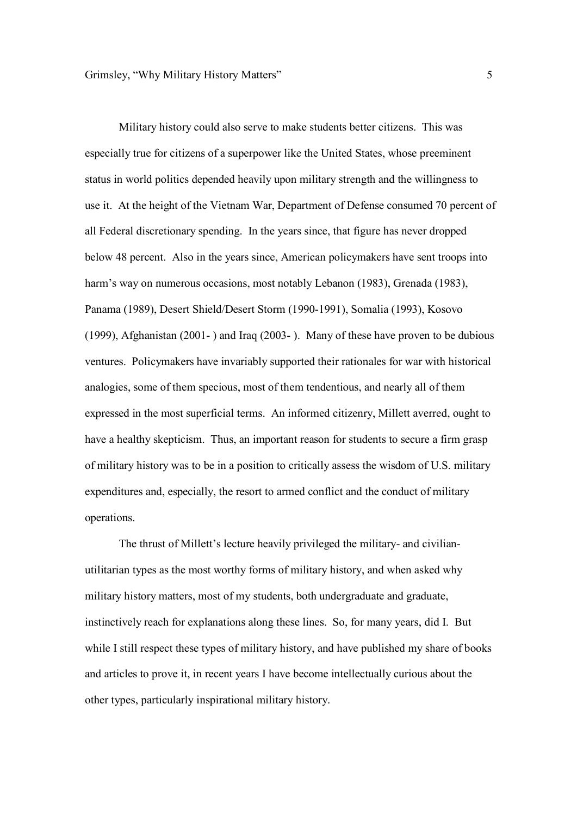Military history could also serve to make students better citizens. This was especially true for citizens of a superpower like the United States, whose preeminent status in world politics depended heavily upon military strength and the willingness to use it. At the height of the Vietnam War, Department of Defense consumed 70 percent of all Federal discretionary spending. In the years since, that figure has never dropped below 48 percent. Also in the years since, American policymakers have sent troops into harm's way on numerous occasions, most notably Lebanon (1983), Grenada (1983), Panama (1989), Desert Shield/Desert Storm (1990-1991), Somalia (1993), Kosovo (1999), Afghanistan (2001- ) and Iraq (2003- ). Many of these have proven to be dubious ventures. Policymakers have invariably supported their rationales for war with historical analogies, some of them specious, most of them tendentious, and nearly all of them expressed in the most superficial terms. An informed citizenry, Millett averred, ought to have a healthy skepticism. Thus, an important reason for students to secure a firm grasp of military history was to be in a position to critically assess the wisdom of U.S. military expenditures and, especially, the resort to armed conflict and the conduct of military operations.

The thrust of Millett's lecture heavily privileged the military- and civilianutilitarian types as the most worthy forms of military history, and when asked why military history matters, most of my students, both undergraduate and graduate, instinctively reach for explanations along these lines. So, for many years, did I. But while I still respect these types of military history, and have published my share of books and articles to prove it, in recent years I have become intellectually curious about the other types, particularly inspirational military history.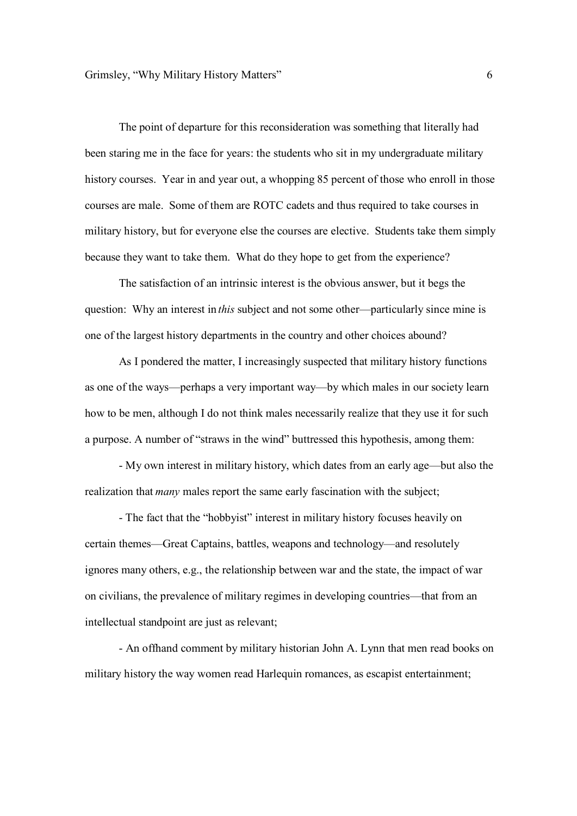The point of departure for this reconsideration was something that literally had been staring me in the face for years: the students who sit in my undergraduate military history courses. Year in and year out, a whopping 85 percent of those who enroll in those courses are male. Some of them are ROTC cadets and thus required to take courses in military history, but for everyone else the courses are elective. Students take them simply because they want to take them. What do they hope to get from the experience?

The satisfaction of an intrinsic interest is the obvious answer, but it begs the question: Why an interest in *this* subject and not some other—particularly since mine is one of the largest history departments in the country and other choices abound?

As I pondered the matter, I increasingly suspected that military history functions as one of the ways—perhaps a very important way—by which males in our society learn how to be men, although I do not think males necessarily realize that they use it for such a purpose. A number of "straws in the wind" buttressed this hypothesis, among them:

- My own interest in military history, which dates from an early age—but also the realization that *many* males report the same early fascination with the subject;

- The fact that the "hobbyist" interest in military history focuses heavily on certain themes—Great Captains, battles, weapons and technology—and resolutely ignores many others, e.g., the relationship between war and the state, the impact of war on civilians, the prevalence of military regimes in developing countries—that from an intellectual standpoint are just as relevant;

- An offhand comment by military historian John A. Lynn that men read books on military history the way women read Harlequin romances, as escapist entertainment;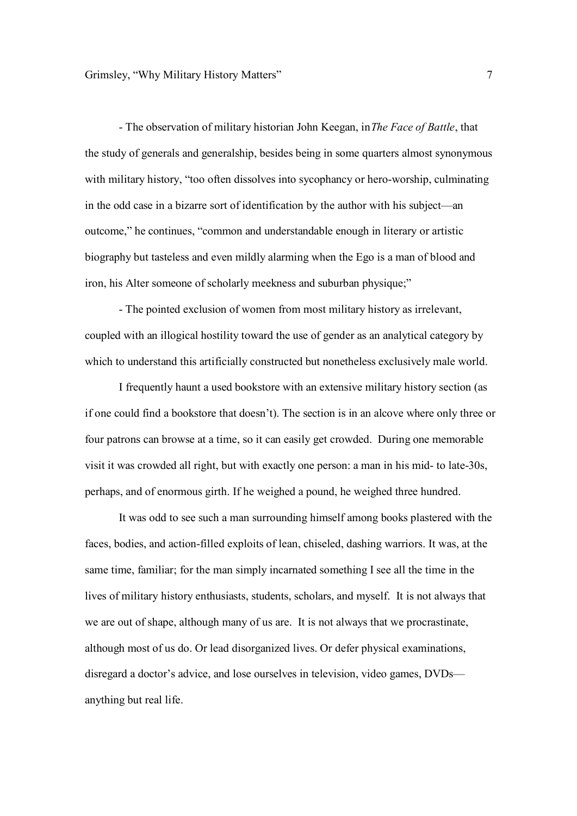- The observation of military historian John Keegan, in *The Face of Battle*, that the study of generals and generalship, besides being in some quarters almost synonymous with military history, "too often dissolves into sycophancy or hero-worship, culminating in the odd case in a bizarre sort of identification by the author with his subject—an outcome," he continues, "common and understandable enough in literary or artistic biography but tasteless and even mildly alarming when the Ego is a man of blood and iron, his Alter someone of scholarly meekness and suburban physique;"

- The pointed exclusion of women from most military history as irrelevant, coupled with an illogical hostility toward the use of gender as an analytical category by which to understand this artificially constructed but nonetheless exclusively male world.

I frequently haunt a used bookstore with an extensive military history section (as if one could find a bookstore that doesn't). The section is in an alcove where only three or four patrons can browse at a time, so it can easily get crowded. During one memorable visit it was crowded all right, but with exactly one person: a man in his mid- to late-30s, perhaps, and of enormous girth. If he weighed a pound, he weighed three hundred.

It was odd to see such a man surrounding himself among books plastered with the faces, bodies, and action-filled exploits of lean, chiseled, dashing warriors. It was, at the same time, familiar; for the man simply incarnated something I see all the time in the lives of military history enthusiasts, students, scholars, and myself. It is not always that we are out of shape, although many of us are. It is not always that we procrastinate, although most of us do. Or lead disorganized lives. Or defer physical examinations, disregard a doctor's advice, and lose ourselves in television, video games, DVDs anything but real life.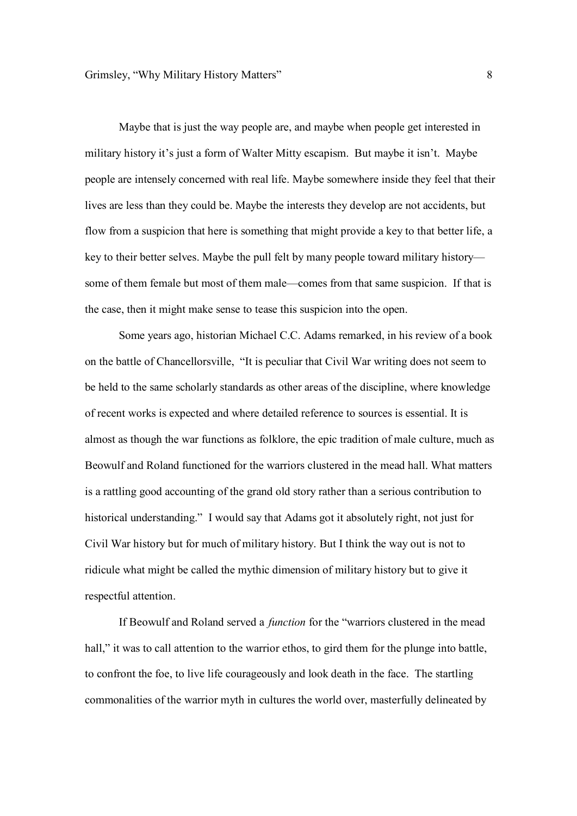Maybe that is just the way people are, and maybe when people get interested in military history it's just a form of Walter Mitty escapism. But maybe it isn't. Maybe people are intensely concerned with real life. Maybe somewhere inside they feel that their lives are less than they could be. Maybe the interests they develop are not accidents, but flow from a suspicion that here is something that might provide a key to that better life, a key to their better selves. Maybe the pull felt by many people toward military history some of them female but most of them male—comes from that same suspicion. If that is the case, then it might make sense to tease this suspicion into the open.

Some years ago, historian Michael C.C. Adams remarked, in his review of a book on the battle of Chancellorsville, "It is peculiar that Civil War writing does not seem to be held to the same scholarly standards as other areas of the discipline, where knowledge of recent works is expected and where detailed reference to sources is essential. It is almost as though the war functions as folklore, the epic tradition of male culture, much as Beowulf and Roland functioned for the warriors clustered in the mead hall. What matters is a rattling good accounting of the grand old story rather than a serious contribution to historical understanding." I would say that Adams got it absolutely right, not just for Civil War history but for much of military history. But I think the way out is not to ridicule what might be called the mythic dimension of military history but to give it respectful attention.

If Beowulf and Roland served a *function* for the "warriors clustered in the mead hall," it was to call attention to the warrior ethos, to gird them for the plunge into battle, to confront the foe, to live life courageously and look death in the face. The startling commonalities of the warrior myth in cultures the world over, masterfully delineated by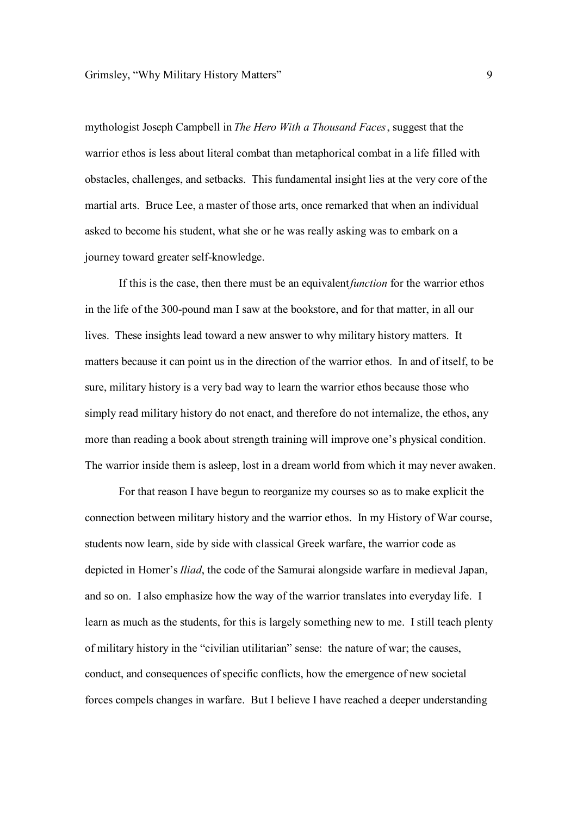mythologist Joseph Campbell in *The Hero With a Thousand Faces*, suggest that the warrior ethos is less about literal combat than metaphorical combat in a life filled with obstacles, challenges, and setbacks. This fundamental insight lies at the very core of the martial arts. Bruce Lee, a master of those arts, once remarked that when an individual asked to become his student, what she or he was really asking was to embark on a journey toward greater self-knowledge.

If this is the case, then there must be an equivalent *function* for the warrior ethos in the life of the 300-pound man I saw at the bookstore, and for that matter, in all our lives. These insights lead toward a new answer to why military history matters. It matters because it can point us in the direction of the warrior ethos. In and of itself, to be sure, military history is a very bad way to learn the warrior ethos because those who simply read military history do not enact, and therefore do not internalize, the ethos, any more than reading a book about strength training will improve one's physical condition. The warrior inside them is asleep, lost in a dream world from which it may never awaken.

For that reason I have begun to reorganize my courses so as to make explicit the connection between military history and the warrior ethos. In my History of War course, students now learn, side by side with classical Greek warfare, the warrior code as depicted in Homer's *Iliad*, the code of the Samurai alongside warfare in medieval Japan, and so on. I also emphasize how the way of the warrior translates into everyday life. I learn as much as the students, for this is largely something new to me. I still teach plenty of military history in the "civilian utilitarian" sense: the nature of war; the causes, conduct, and consequences of specific conflicts, how the emergence of new societal forces compels changes in warfare. But I believe I have reached a deeper understanding